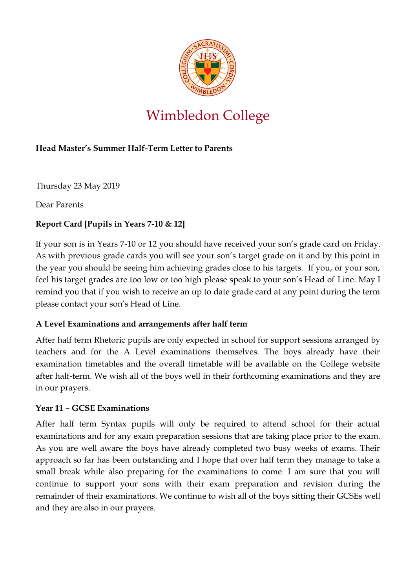

# Wimbledon College

## **Head Master's Summer Half-Term Letter to Parents**

Thursday 23 May 2019

Dear Parents

## **Report Card [Pupils in Years 7-10 & 12]**

If your son is in Years 7-10 or 12 you should have received your son's grade card on Friday. As with previous grade cards you will see your son's target grade on it and by this point in the year you should be seeing him achieving grades close to his targets. If you, or your son, feel his target grades are too low or too high please speak to your son's Head of Line. May I remind you that if you wish to receive an up to date grade card at any point during the term please contact your son's Head of Line.

## **A Level Examinations and arrangements after half term**

After half term Rhetoric pupils are only expected in school for support sessions arranged by teachers and for the A Level examinations themselves. The boys already have their examination timetables and the overall timetable will be available on the College website after half-term. We wish all of the boys well in their forthcoming examinations and they are in our prayers.

## **Year 11 – GCSE Examinations**

After half term Syntax pupils will only be required to attend school for their actual examinations and for any exam preparation sessions that are taking place prior to the exam. As you are well aware the boys have already completed two busy weeks of exams. Their approach so far has been outstanding and I hope that over half term they manage to take a small break while also preparing for the examinations to come. I am sure that you will continue to support your sons with their exam preparation and revision during the remainder of their examinations. We continue to wish all of the boys sitting their GCSEs well and they are also in our prayers.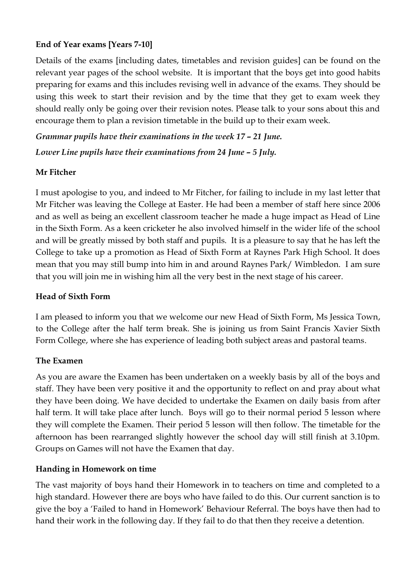## **End of Year exams [Years 7-10]**

Details of the exams [including dates, timetables and revision guides] can be found on the relevant year pages of the school website. It is important that the boys get into good habits preparing for exams and this includes revising well in advance of the exams. They should be using this week to start their revision and by the time that they get to exam week they should really only be going over their revision notes. Please talk to your sons about this and encourage them to plan a revision timetable in the build up to their exam week.

*Grammar pupils have their examinations in the week 17 – 21 June. Lower Line pupils have their examinations from 24 June – 5 July.*

#### **Mr Fitcher**

I must apologise to you, and indeed to Mr Fitcher, for failing to include in my last letter that Mr Fitcher was leaving the College at Easter. He had been a member of staff here since 2006 and as well as being an excellent classroom teacher he made a huge impact as Head of Line in the Sixth Form. As a keen cricketer he also involved himself in the wider life of the school and will be greatly missed by both staff and pupils. It is a pleasure to say that he has left the College to take up a promotion as Head of Sixth Form at Raynes Park High School. It does mean that you may still bump into him in and around Raynes Park/ Wimbledon. I am sure that you will join me in wishing him all the very best in the next stage of his career.

#### **Head of Sixth Form**

I am pleased to inform you that we welcome our new Head of Sixth Form, Ms Jessica Town, to the College after the half term break. She is joining us from Saint Francis Xavier Sixth Form College, where she has experience of leading both subject areas and pastoral teams.

#### **The Examen**

As you are aware the Examen has been undertaken on a weekly basis by all of the boys and staff. They have been very positive it and the opportunity to reflect on and pray about what they have been doing. We have decided to undertake the Examen on daily basis from after half term. It will take place after lunch. Boys will go to their normal period 5 lesson where they will complete the Examen. Their period 5 lesson will then follow. The timetable for the afternoon has been rearranged slightly however the school day will still finish at 3.10pm. Groups on Games will not have the Examen that day.

#### **Handing in Homework on time**

The vast majority of boys hand their Homework in to teachers on time and completed to a high standard. However there are boys who have failed to do this. Our current sanction is to give the boy a 'Failed to hand in Homework' Behaviour Referral. The boys have then had to hand their work in the following day. If they fail to do that then they receive a detention.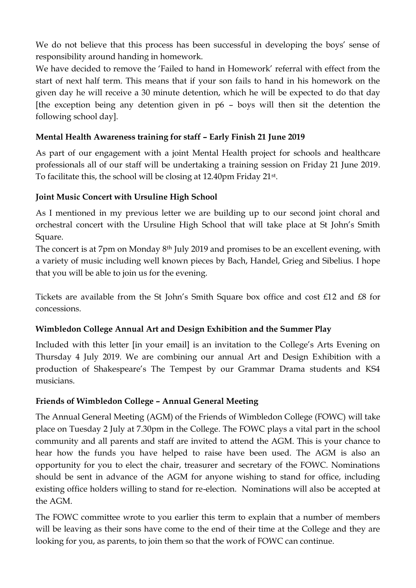We do not believe that this process has been successful in developing the boys' sense of responsibility around handing in homework.

We have decided to remove the 'Failed to hand in Homework' referral with effect from the start of next half term. This means that if your son fails to hand in his homework on the given day he will receive a 30 minute detention, which he will be expected to do that day [the exception being any detention given in p6 – boys will then sit the detention the following school day].

# **Mental Health Awareness training for staff – Early Finish 21 June 2019**

As part of our engagement with a joint Mental Health project for schools and healthcare professionals all of our staff will be undertaking a training session on Friday 21 June 2019. To facilitate this, the school will be closing at 12.40pm Friday 21st .

## **Joint Music Concert with Ursuline High School**

As I mentioned in my previous letter we are building up to our second joint choral and orchestral concert with the Ursuline High School that will take place at St John's Smith Square.

The concert is at 7pm on Monday 8<sup>th</sup> July 2019 and promises to be an excellent evening, with a variety of music including well known pieces by Bach, Handel, Grieg and Sibelius. I hope that you will be able to join us for the evening.

Tickets are available from the St John's Smith Square box office and cost £12 and £8 for concessions.

## **Wimbledon College Annual Art and Design Exhibition and the Summer Play**

Included with this letter [in your email] is an invitation to the College's Arts Evening on Thursday 4 July 2019. We are combining our annual Art and Design Exhibition with a production of Shakespeare's The Tempest by our Grammar Drama students and KS4 musicians.

#### **Friends of Wimbledon College – Annual General Meeting**

The Annual General Meeting (AGM) of the Friends of Wimbledon College (FOWC) will take place on Tuesday 2 July at 7.30pm in the College. The FOWC plays a vital part in the school community and all parents and staff are invited to attend the AGM. This is your chance to hear how the funds you have helped to raise have been used. The AGM is also an opportunity for you to elect the chair, treasurer and secretary of the FOWC. Nominations should be sent in advance of the AGM for anyone wishing to stand for office, including existing office holders willing to stand for re-election. Nominations will also be accepted at the AGM.

The FOWC committee wrote to you earlier this term to explain that a number of members will be leaving as their sons have come to the end of their time at the College and they are looking for you, as parents, to join them so that the work of FOWC can continue.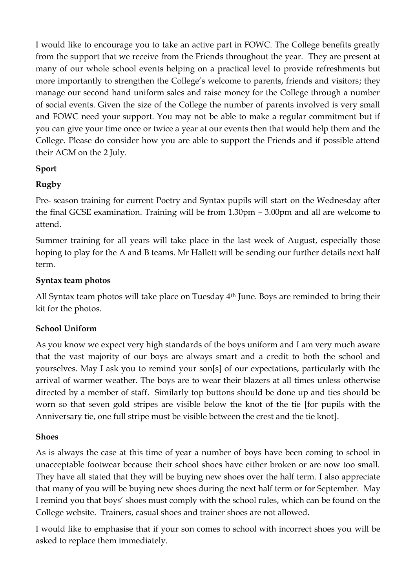I would like to encourage you to take an active part in FOWC. The College benefits greatly from the support that we receive from the Friends throughout the year. They are present at many of our whole school events helping on a practical level to provide refreshments but more importantly to strengthen the College's welcome to parents, friends and visitors; they manage our second hand uniform sales and raise money for the College through a number of social events. Given the size of the College the number of parents involved is very small and FOWC need your support. You may not be able to make a regular commitment but if you can give your time once or twice a year at our events then that would help them and the College. Please do consider how you are able to support the Friends and if possible attend their AGM on the 2 July.

#### **Sport**

## **Rugby**

Pre- season training for current Poetry and Syntax pupils will start on the Wednesday after the final GCSE examination. Training will be from 1.30pm – 3.00pm and all are welcome to attend.

Summer training for all years will take place in the last week of August, especially those hoping to play for the A and B teams. Mr Hallett will be sending our further details next half term.

#### **Syntax team photos**

All Syntax team photos will take place on Tuesday 4<sup>th</sup> June. Boys are reminded to bring their kit for the photos.

#### **School Uniform**

As you know we expect very high standards of the boys uniform and I am very much aware that the vast majority of our boys are always smart and a credit to both the school and yourselves. May I ask you to remind your son[s] of our expectations, particularly with the arrival of warmer weather. The boys are to wear their blazers at all times unless otherwise directed by a member of staff. Similarly top buttons should be done up and ties should be worn so that seven gold stripes are visible below the knot of the tie [for pupils with the Anniversary tie, one full stripe must be visible between the crest and the tie knot].

#### **Shoes**

As is always the case at this time of year a number of boys have been coming to school in unacceptable footwear because their school shoes have either broken or are now too small. They have all stated that they will be buying new shoes over the half term. I also appreciate that many of you will be buying new shoes during the next half term or for September. May I remind you that boys' shoes must comply with the school rules, which can be found on the College website. Trainers, casual shoes and trainer shoes are not allowed.

I would like to emphasise that if your son comes to school with incorrect shoes you will be asked to replace them immediately.